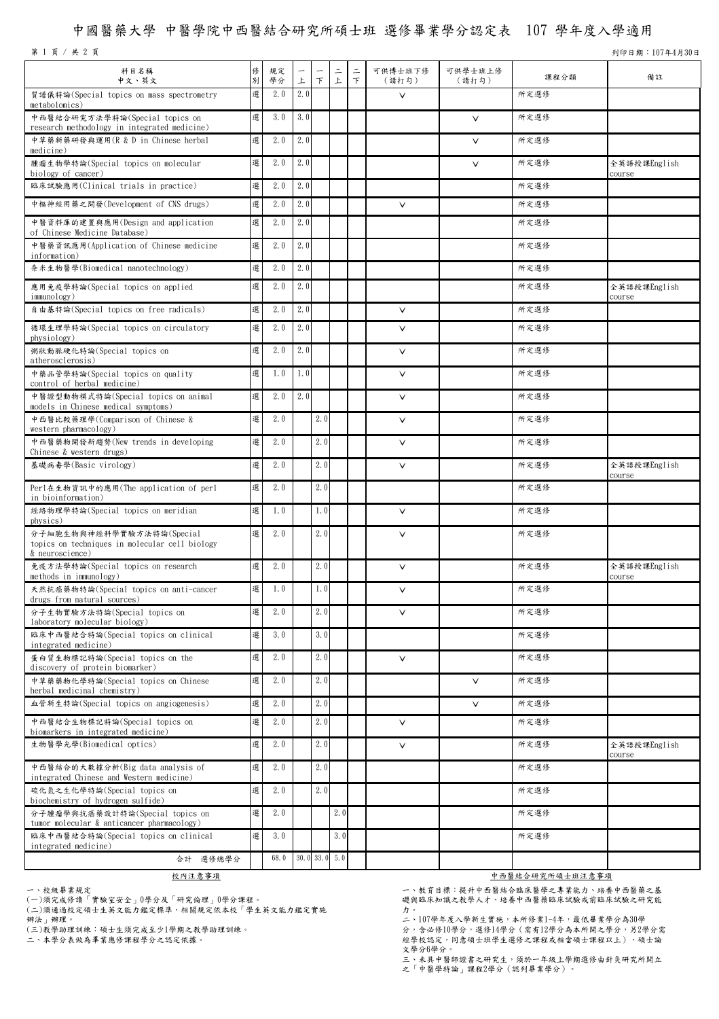## 中國醫藥大學 中醫學院中西醫結合研究所碩士班 選修畢業學分認定表 107 學年度入學適用

| 第1頁 / 共2頁                                                                                      |        |          |     |        |                  |                    |                  |                  |      | 列印日期: 107年4月30日        |
|------------------------------------------------------------------------------------------------|--------|----------|-----|--------|------------------|--------------------|------------------|------------------|------|------------------------|
| 科目名稱<br>中文、英文                                                                                  | 俢<br>別 | 規定<br>學分 | 上   | $\top$ | $\tilde{=}$<br>上 | $\equiv$<br>$\top$ | 可供博士班下修<br>(請打勾) | 可供學士班上修<br>(請打勾) | 課程分類 | 備註                     |
| 質譜儀特論(Special topics on mass spectrometry<br>metabolomics)                                     | 選      | 2.0      | 2.0 |        |                  |                    | $\vee$           |                  | 所定選修 |                        |
| 中西醫結合研究方法學特論(Special topics on<br>research methodology in integrated medicine)                 | 選      | 3.0      | 3.0 |        |                  |                    |                  | $\vee$           | 所定選修 |                        |
| 中草藥新藥研發與運用(R & D in Chinese herbal<br>medicine)                                                | 選      | 2.0      | 2.0 |        |                  |                    |                  | $\vee$           | 所定選修 |                        |
| 腫瘤生物學特論(Special topics on molecular<br>biology of cancer)                                      | 選      | 2.0      | 2.0 |        |                  |                    |                  | $\vee$           | 所定選修 | 全英語授課English<br>course |
| 臨床試驗應用(Clinical trials in practice)                                                            | 選      | 2.0      | 2.0 |        |                  |                    |                  |                  | 所定選修 |                        |
| 中樞神經用藥之開發(Development of CNS drugs)                                                            | 選      | 2.0      | 2.0 |        |                  |                    | $\vee$           |                  | 所定選修 |                        |
| 中醫資料庫的建置與應用(Design and application<br>of Chinese Medicine Database)                            | 選      | 2.0      | 2.0 |        |                  |                    |                  |                  | 所定選修 |                        |
| 中醫藥資訊應用(Application of Chinese medicine<br>information)                                        | 選      | 2.0      | 2.0 |        |                  |                    |                  |                  | 所定選修 |                        |
| 奈米生物醫學(Biomedical nanotechnology)                                                              | 選      | 2.0      | 2.0 |        |                  |                    |                  |                  | 所定選修 |                        |
| 應用免疫學特論(Special topics on applied<br>immunology)                                               | 選      | 2.0      | 2.0 |        |                  |                    |                  |                  | 所定選修 | 全英語授課English<br>course |
| 自由基特論(Special topics on free radicals)                                                         | 選      | 2.0      | 2.0 |        |                  |                    | $\vee$           |                  | 所定選修 |                        |
| 循環生理學特論(Special topics on circulatory<br>physiology)                                           | 選      | 2.0      | 2.0 |        |                  |                    | $\vee$           |                  | 所定選修 |                        |
| 粥狀動脈硬化特論(Special topics on<br>atherosclerosis)                                                 | 選      | 2.0      | 2.0 |        |                  |                    | $\vee$           |                  | 所定選修 |                        |
| 中藥品管學特論(Special topics on quality<br>control of herbal medicine)                               | 選      | 1.0      | 1.0 |        |                  |                    | $\vee$           |                  | 所定選修 |                        |
| 中醫證型動物模式特論(Special topics on animal<br>models in Chinese medical symptoms)                     | 選      | 2.0      | 2.0 |        |                  |                    | $\vee$           |                  | 所定選修 |                        |
| 中西醫比較藥理學(Comparison of Chinese &<br>western pharmacology)                                      | 選      | 2.0      |     | 2.0    |                  |                    | $\vee$           |                  | 所定選修 |                        |
| 中西醫藥物開發新趨勢(New trends in developing<br>Chinese & western drugs)                                | 選      | 2.0      |     | 2.0    |                  |                    | $\vee$           |                  | 所定選修 |                        |
| 基礎病毒學(Basic virology)                                                                          | 選      | 2.0      |     | 2.0    |                  |                    | $\vee$           |                  | 所定選修 | 全英語授課English<br>course |
| Perl在生物資訊中的應用(The application of perl<br>in bioinformation)                                    | 選      | 2.0      |     | 2.0    |                  |                    |                  |                  | 所定選修 |                        |
| 經絡物理學特論(Special topics on meridian<br>physics)                                                 | 選      | 1.0      |     | 1.0    |                  |                    | $\vee$           |                  | 所定選修 |                        |
| 分子細胞生物與神經科學實驗方法特論(Special<br>topics on techniques in molecular cell biology<br>& neuroscience) | 選      | 2.0      |     | 2.0    |                  |                    | $\vee$           |                  | 所定選修 |                        |
| 免疫方法學特論(Special topics on research<br>methods in immunology)                                   | 選      | 2.0      |     | 2.0    |                  |                    | $\vee$           |                  | 所定選修 | 全英語授課English<br>course |
| 天然抗癌藥物特論(Special topics on anti-cancer<br>drugs from natural sources)                          | 選      | 1.0      |     | 1.0    |                  |                    | $\vee$           |                  | 所定選修 |                        |
| 分子生物實驗方法特論(Special topics on<br>laboratory molecular biology)                                  | 選      | 2.0      |     | 2.0    |                  |                    | $\vee$           |                  | 所定選修 |                        |
| 臨床中西醫結合特論(Special topics on clinical<br>integrated medicine)                                   | 選      | 3.0      |     | 3.0    |                  |                    |                  |                  | 所定選修 |                        |
| 蛋白質生物標記特論(Special topics on the<br>discovery of protein biomarker)                             | 選      | 2.0      |     | 2.0    |                  |                    | $\vee$           |                  | 所定選修 |                        |
| 中草藥藥物化學特論(Special topics on Chinese<br>herbal medicinal chemistry)                             | 選      | 2.0      |     | 2.0    |                  |                    |                  | $\vee$           | 所定選修 |                        |
| 血管新生特論(Special topics on angiogenesis)                                                         | 選      | 2.0      |     | 2.0    |                  |                    |                  | $\vee$           | 所定選修 |                        |
| 中西醫結合生物標記特論(Special topics on<br>biomarkers in integrated medicine)                            | 選      | 2.0      |     | 2.0    |                  |                    | $\vee$           |                  | 所定選修 |                        |
| 生物醫學光學(Biomedical optics)                                                                      | 選      | 2.0      |     | 2.0    |                  |                    | $\vee$           |                  | 所定選修 | 全英語授課English<br>course |
| 中西醫結合的大數據分析(Big data analysis of<br>integrated Chinese and Western medicine)                   | 選      | 2.0      |     | 2.0    |                  |                    |                  |                  | 所定選修 |                        |
| 硫化氫之生化學特論(Special topics on<br>biochemistry of hydrogen sulfide)                               | 選      | 2.0      |     | 2.0    |                  |                    |                  |                  | 所定選修 |                        |
| 分子腫瘤學與抗癌藥設計特論(Special topics on<br>tumor molecular & anticancer pharmacology)                  | 選      | 2.0      |     |        | 2.0              |                    |                  |                  | 所定選修 |                        |
| 臨床中西醫結合特論(Special topics on clinical<br>integrated medicine)                                   | 選      | 3.0      |     |        | 3.0              |                    |                  |                  | 所定選修 |                        |
| 合計 選修總學分                                                                                       |        | 68.0     |     |        | $30.0$ 33.0 5.0  |                    |                  |                  |      |                        |

一、教育目標:提升中西醫結合臨床醫學之專業能力、培養中西醫藥之基 礎與臨床知識之教學人才、培養中西醫藥臨床試驗或前臨床試驗之研究能<br>力。 力。二、107學年度入學新生實施,本所修業1-4年,最低畢業學分為30學 分,含必修10學分,選修14學分(需有12學分為本所開之學分,另2學分需 ,, ローレル・ルース 2017年カ、2017年1月14年カール、100年カーカムトカー<br>經學校認定,同意碩士班學生選修之課程或相當碩士課程以上),碩士論

三、未具中醫師證書之研究生,須於一年級上學期選修由針灸研究所開立

之「中醫學特論」課程2學分(認列畢業學分)。

文學分6學分。

## 校內注意事項 中西醫結合研究所碩士班注意事項

一、校級畢業規定

(一)須完成修讀「實驗室安全」0學分及「研究倫理」0學分課程。

(二)須通過校定碩士生英文能力鑑定標準,相關規定依本校「學生英文能力鑑定實施

辦法」辦理。 (三)教學助理訓練:碩士生須完成至少1學期之教學助理訓練。

二、本學分表做為畢業應修課程學分之認定依據。